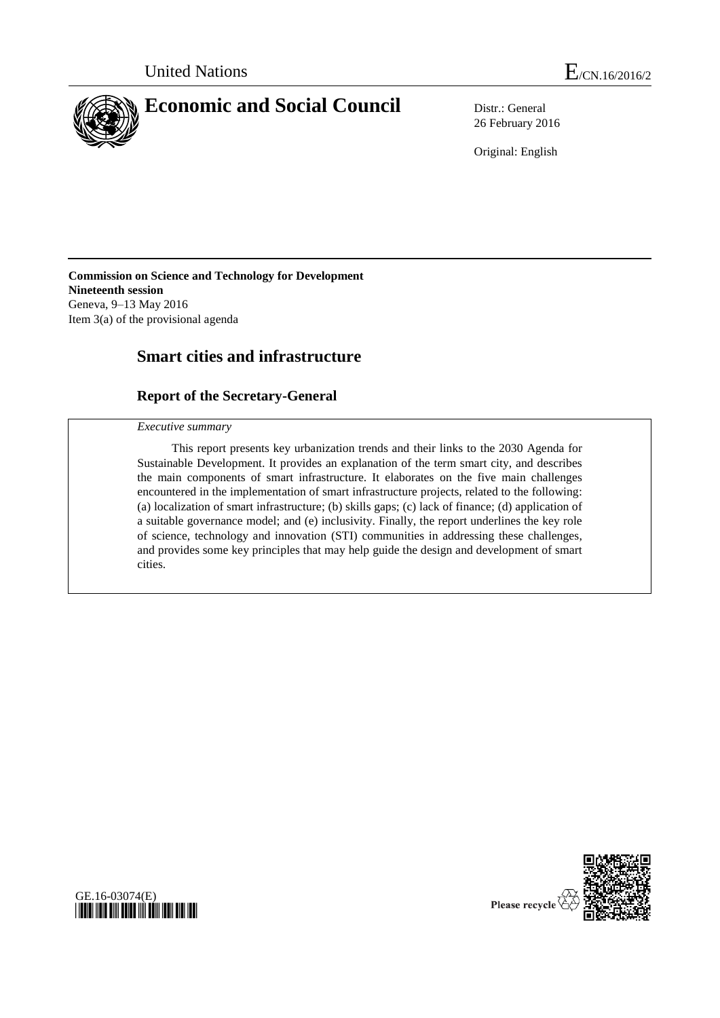

26 February 2016

Original: English

**Commission on Science and Technology for Development Nineteenth session** Geneva, 9–13 May 2016 Item 3(a) of the provisional agenda

# **Smart cities and infrastructure**

# **Report of the Secretary-General**

*Executive summary*

This report presents key urbanization trends and their links to the 2030 Agenda for Sustainable Development. It provides an explanation of the term smart city, and describes the main components of smart infrastructure. It elaborates on the five main challenges encountered in the implementation of smart infrastructure projects, related to the following: (a) localization of smart infrastructure; (b) skills gaps; (c) lack of finance; (d) application of a suitable governance model; and (e) inclusivity. Finally, the report underlines the key role of science, technology and innovation (STI) communities in addressing these challenges, and provides some key principles that may help guide the design and development of smart cities.



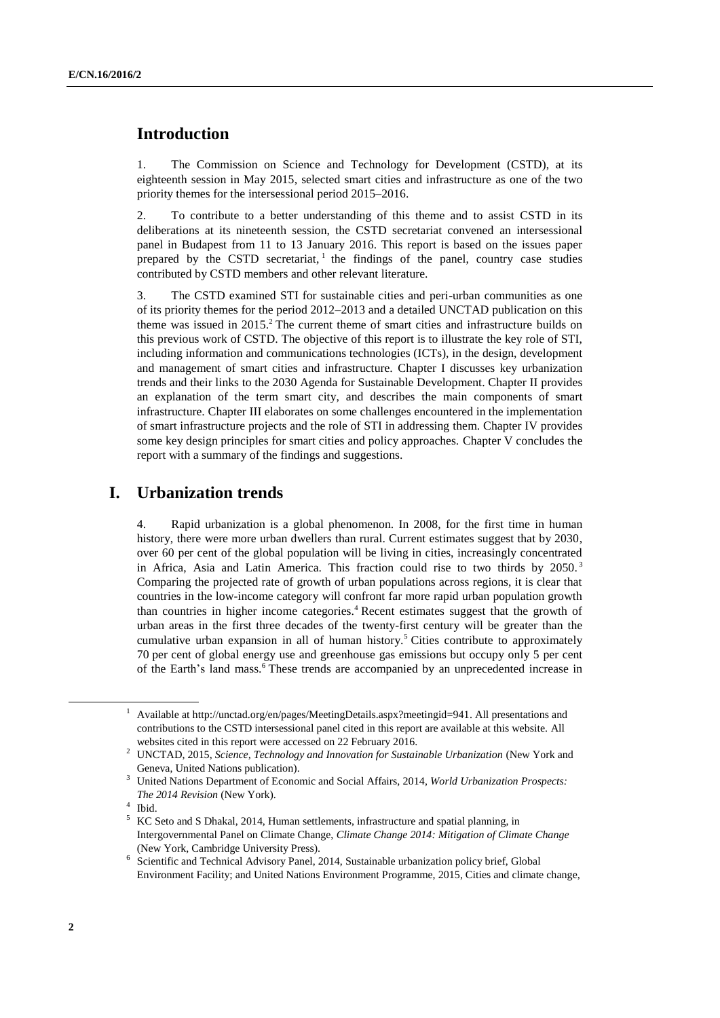# **Introduction**

1. The Commission on Science and Technology for Development (CSTD), at its eighteenth session in May 2015, selected smart cities and infrastructure as one of the two priority themes for the intersessional period 2015–2016.

2. To contribute to a better understanding of this theme and to assist CSTD in its deliberations at its nineteenth session, the CSTD secretariat convened an intersessional panel in Budapest from 11 to 13 January 2016. This report is based on the issues paper prepared by the CSTD secretariat, 1 the findings of the panel, country case studies contributed by CSTD members and other relevant literature.

3. The CSTD examined STI for sustainable cities and peri-urban communities as one of its priority themes for the period 2012–2013 and a detailed UNCTAD publication on this theme was issued in 2015. <sup>2</sup> The current theme of smart cities and infrastructure builds on this previous work of CSTD. The objective of this report is to illustrate the key role of STI, including information and communications technologies (ICTs), in the design, development and management of smart cities and infrastructure. Chapter I discusses key urbanization trends and their links to the 2030 Agenda for Sustainable Development. Chapter II provides an explanation of the term smart city, and describes the main components of smart infrastructure. Chapter III elaborates on some challenges encountered in the implementation of smart infrastructure projects and the role of STI in addressing them. Chapter IV provides some key design principles for smart cities and policy approaches. Chapter V concludes the report with a summary of the findings and suggestions.

# **I. Urbanization trends**

4. Rapid urbanization is a global phenomenon. In 2008, for the first time in human history, there were more urban dwellers than rural. Current estimates suggest that by 2030, over 60 per cent of the global population will be living in cities, increasingly concentrated in Africa, Asia and Latin America. This fraction could rise to two thirds by 2050. 3 Comparing the projected rate of growth of urban populations across regions, it is clear that countries in the low-income category will confront far more rapid urban population growth than countries in higher income categories. <sup>4</sup> Recent estimates suggest that the growth of urban areas in the first three decades of the twenty-first century will be greater than the cumulative urban expansion in all of human history.<sup>5</sup> Cities contribute to approximately 70 per cent of global energy use and greenhouse gas emissions but occupy only 5 per cent of the Earth's land mass.<sup>6</sup> These trends are accompanied by an unprecedented increase in

<sup>&</sup>lt;sup>1</sup> Available at http://unctad.org/en/pages/MeetingDetails.aspx?meetingid=941. All presentations and contributions to the CSTD intersessional panel cited in this report are available at this website. All websites cited in this report were accessed on 22 February 2016.

<sup>2</sup> UNCTAD, 2015, *Science, Technology and Innovation for Sustainable Urbanization* (New York and Geneva, United Nations publication).

<sup>3</sup> United Nations Department of Economic and Social Affairs, 2014, *World Urbanization Prospects: The 2014 Revision* (New York).

<sup>4</sup> Ibid.

<sup>&</sup>lt;sup>5</sup> KC Seto and S Dhakal, 2014, Human settlements, infrastructure and spatial planning, in Intergovernmental Panel on Climate Change, *Climate Change 2014: Mitigation of Climate Change*  (New York, Cambridge University Press).

<sup>&</sup>lt;sup>6</sup> Scientific and Technical Advisory Panel, 2014, Sustainable urbanization policy brief, Global Environment Facility; and United Nations Environment Programme, 2015, Cities and climate change,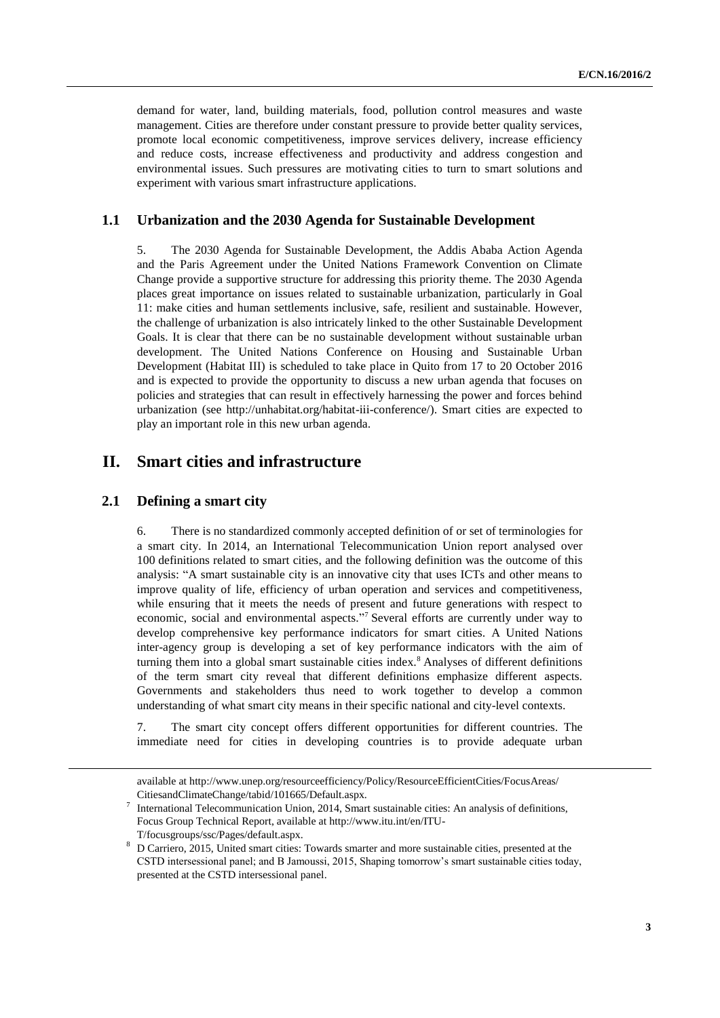demand for water, land, building materials, food, pollution control measures and waste management. Cities are therefore under constant pressure to provide better quality services, promote local economic competitiveness, improve services delivery, increase efficiency and reduce costs, increase effectiveness and productivity and address congestion and environmental issues. Such pressures are motivating cities to turn to smart solutions and experiment with various smart infrastructure applications.

## **1.1 Urbanization and the 2030 Agenda for Sustainable Development**

5. The 2030 Agenda for Sustainable Development, the Addis Ababa Action Agenda and the Paris Agreement under the United Nations Framework Convention on Climate Change provide a supportive structure for addressing this priority theme. The 2030 Agenda places great importance on issues related to sustainable urbanization, particularly in Goal 11: make cities and human settlements inclusive, safe, resilient and sustainable. However, the challenge of urbanization is also intricately linked to the other Sustainable Development Goals. It is clear that there can be no sustainable development without sustainable urban development. The United Nations Conference on Housing and Sustainable Urban Development (Habitat III) is scheduled to take place in Quito from 17 to 20 October 2016 and is expected to provide the opportunity to discuss a new urban agenda that focuses on policies and strategies that can result in effectively harnessing the power and forces behind urbanization (see http://unhabitat.org/habitat-iii-conference/). Smart cities are expected to play an important role in this new urban agenda.

# **II. Smart cities and infrastructure**

## **2.1 Defining a smart city**

-

6. There is no standardized commonly accepted definition of or set of terminologies for a smart city. In 2014, an International Telecommunication Union report analysed over 100 definitions related to smart cities, and the following definition was the outcome of this analysis: "A smart sustainable city is an innovative city that uses ICTs and other means to improve quality of life, efficiency of urban operation and services and competitiveness, while ensuring that it meets the needs of present and future generations with respect to economic, social and environmental aspects."<sup>7</sup> Several efforts are currently under way to develop comprehensive key performance indicators for smart cities. A United Nations inter-agency group is developing a set of key performance indicators with the aim of turning them into a global smart sustainable cities index.<sup>8</sup> Analyses of different definitions of the term smart city reveal that different definitions emphasize different aspects. Governments and stakeholders thus need to work together to develop a common understanding of what smart city means in their specific national and city-level contexts.

7. The smart city concept offers different opportunities for different countries. The immediate need for cities in developing countries is to provide adequate urban

available at http://www.unep.org/resourceefficiency/Policy/ResourceEfficientCities/FocusAreas/ CitiesandClimateChange/tabid/101665/Default.aspx.

<sup>7</sup> International Telecommunication Union, 2014, Smart sustainable cities: An analysis of definitions, Focus Group Technical Report, available at http://www.itu.int/en/ITU-T/focusgroups/ssc/Pages/default.aspx.

<sup>8</sup> D Carriero, 2015, United smart cities: Towards smarter and more sustainable cities, presented at the CSTD intersessional panel; and B Jamoussi, 2015, Shaping tomorrow's smart sustainable cities today, presented at the CSTD intersessional panel.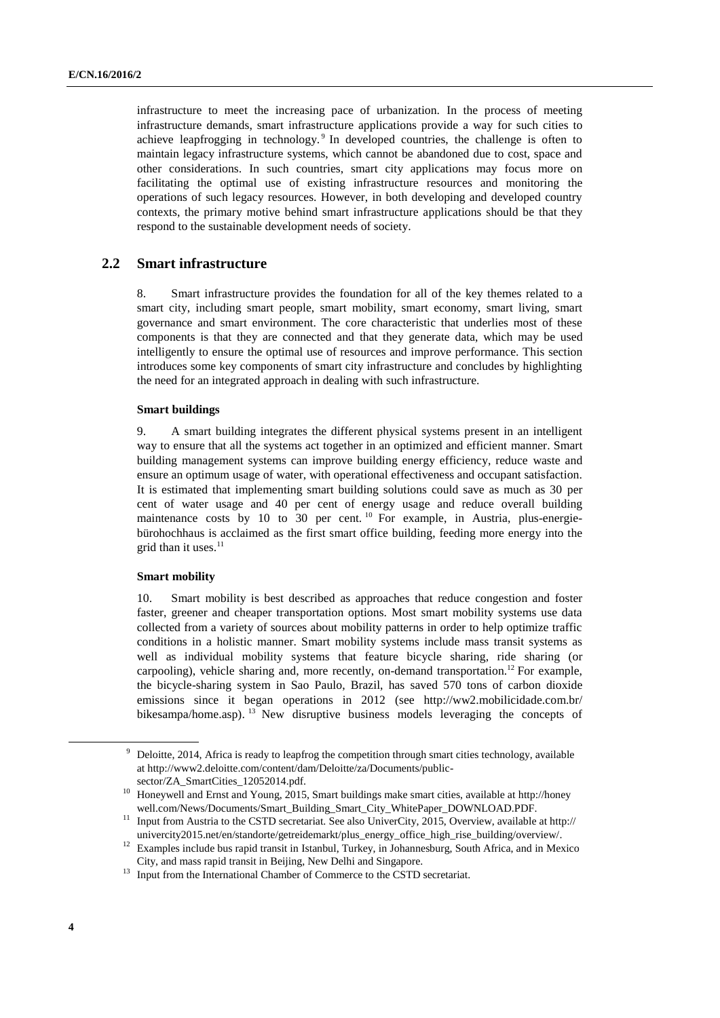infrastructure to meet the increasing pace of urbanization. In the process of meeting infrastructure demands, smart infrastructure applications provide a way for such cities to achieve leapfrogging in technology.<sup>9</sup> In developed countries, the challenge is often to maintain legacy infrastructure systems, which cannot be abandoned due to cost, space and other considerations. In such countries, smart city applications may focus more on facilitating the optimal use of existing infrastructure resources and monitoring the operations of such legacy resources. However, in both developing and developed country contexts, the primary motive behind smart infrastructure applications should be that they respond to the sustainable development needs of society.

# **2.2 Smart infrastructure**

8. Smart infrastructure provides the foundation for all of the key themes related to a smart city, including smart people, smart mobility, smart economy, smart living, smart governance and smart environment. The core characteristic that underlies most of these components is that they are connected and that they generate data, which may be used intelligently to ensure the optimal use of resources and improve performance. This section introduces some key components of smart city infrastructure and concludes by highlighting the need for an integrated approach in dealing with such infrastructure.

### **Smart buildings**

9. A smart building integrates the different physical systems present in an intelligent way to ensure that all the systems act together in an optimized and efficient manner. Smart building management systems can improve building energy efficiency, reduce waste and ensure an optimum usage of water, with operational effectiveness and occupant satisfaction. It is estimated that implementing smart building solutions could save as much as 30 per cent of water usage and 40 per cent of energy usage and reduce overall building maintenance costs by 10 to 30 per cent.<sup>10</sup> For example, in Austria, plus-energiebürohochhaus is acclaimed as the first smart office building, feeding more energy into the grid than it uses.<sup>11</sup>

### **Smart mobility**

10. Smart mobility is best described as approaches that reduce congestion and foster faster, greener and cheaper transportation options. Most smart mobility systems use data collected from a variety of sources about mobility patterns in order to help optimize traffic conditions in a holistic manner. Smart mobility systems include mass transit systems as well as individual mobility systems that feature bicycle sharing, ride sharing (or carpooling), vehicle sharing and, more recently, on-demand transportation.<sup>12</sup> For example, the bicycle-sharing system in Sao Paulo, Brazil, has saved 570 tons of carbon dioxide emissions since it began operations in 2012 (see http://ww2.mobilicidade.com.br/ bikesampa/home.asp).<sup>13</sup> New disruptive business models leveraging the concepts of

<sup>&</sup>lt;sup>9</sup> Deloitte, 2014, Africa is ready to leapfrog the competition through smart cities technology, available at http://www2.deloitte.com/content/dam/Deloitte/za/Documents/publicsector/ZA\_SmartCities\_12052014.pdf.

<sup>&</sup>lt;sup>10</sup> Honeywell and Ernst and Young, 2015, Smart buildings make smart cities, available at http://honey well.com/News/Documents/Smart\_Building\_Smart\_City\_WhitePaper\_DOWNLOAD.PDF.

<sup>&</sup>lt;sup>11</sup> Input from Austria to the CSTD secretariat. See also UniverCity, 2015, Overview, available at http:// univercity2015.net/en/standorte/getreidemarkt/plus\_energy\_office\_high\_rise\_building/overview/.

<sup>&</sup>lt;sup>12</sup> Examples include bus rapid transit in Istanbul, Turkey, in Johannesburg, South Africa, and in Mexico City, and mass rapid transit in Beijing, New Delhi and Singapore.

<sup>&</sup>lt;sup>13</sup> Input from the International Chamber of Commerce to the CSTD secretariat.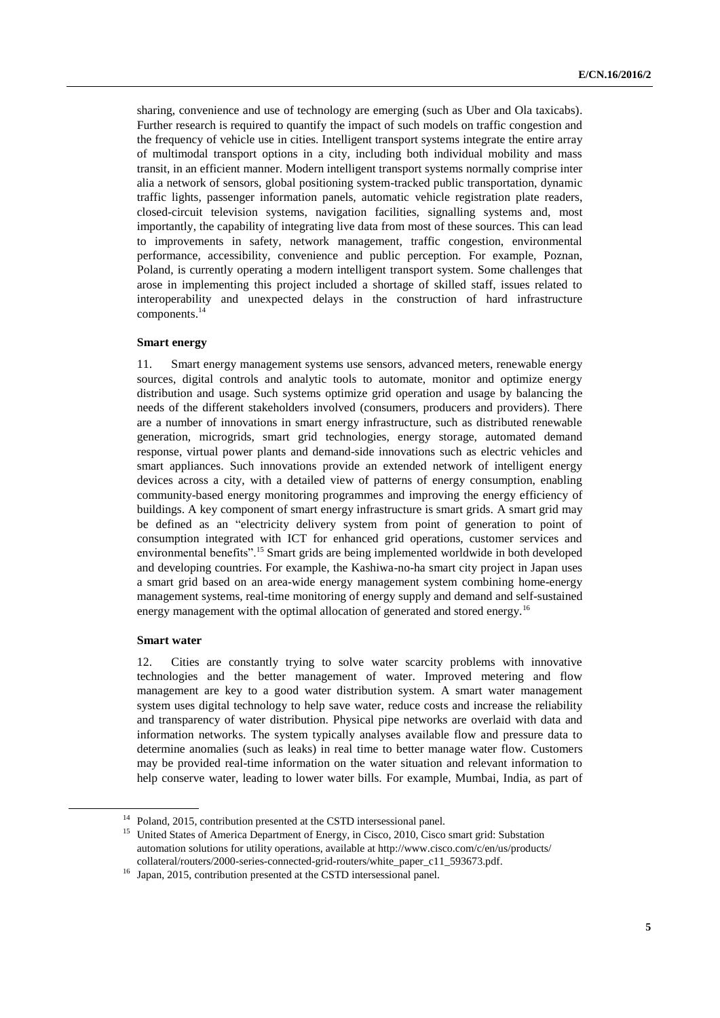sharing, convenience and use of technology are emerging (such as Uber and Ola taxicabs). Further research is required to quantify the impact of such models on traffic congestion and the frequency of vehicle use in cities. Intelligent transport systems integrate the entire array of multimodal transport options in a city, including both individual mobility and mass transit, in an efficient manner. Modern intelligent transport systems normally comprise inter alia a network of sensors, global positioning system-tracked public transportation, dynamic traffic lights, passenger information panels, automatic vehicle registration plate readers, closed-circuit television systems, navigation facilities, signalling systems and, most importantly, the capability of integrating live data from most of these sources. This can lead to improvements in safety, network management, traffic congestion, environmental performance, accessibility, convenience and public perception. For example, Poznan, Poland, is currently operating a modern intelligent transport system. Some challenges that arose in implementing this project included a shortage of skilled staff, issues related to interoperability and unexpected delays in the construction of hard infrastructure components. 14

#### **Smart energy**

11. Smart energy management systems use sensors, advanced meters, renewable energy sources, digital controls and analytic tools to automate, monitor and optimize energy distribution and usage. Such systems optimize grid operation and usage by balancing the needs of the different stakeholders involved (consumers, producers and providers). There are a number of innovations in smart energy infrastructure, such as distributed renewable generation, microgrids, smart grid technologies, energy storage, automated demand response, virtual power plants and demand-side innovations such as electric vehicles and smart appliances. Such innovations provide an extended network of intelligent energy devices across a city, with a detailed view of patterns of energy consumption, enabling community-based energy monitoring programmes and improving the energy efficiency of buildings. A key component of smart energy infrastructure is smart grids. A smart grid may be defined as an "electricity delivery system from point of generation to point of consumption integrated with ICT for enhanced grid operations, customer services and environmental benefits".<sup>15</sup> Smart grids are being implemented worldwide in both developed and developing countries. For example, the Kashiwa-no-ha smart city project in Japan uses a smart grid based on an area-wide energy management system combining home-energy management systems, real-time monitoring of energy supply and demand and self-sustained energy management with the optimal allocation of generated and stored energy.<sup>16</sup>

#### **Smart water**

12. Cities are constantly trying to solve water scarcity problems with innovative technologies and the better management of water. Improved metering and flow management are key to a good water distribution system. A smart water management system uses digital technology to help save water, reduce costs and increase the reliability and transparency of water distribution. Physical pipe networks are overlaid with data and information networks. The system typically analyses available flow and pressure data to determine anomalies (such as leaks) in real time to better manage water flow. Customers may be provided real-time information on the water situation and relevant information to help conserve water, leading to lower water bills. For example, Mumbai, India, as part of

<sup>&</sup>lt;sup>14</sup> Poland, 2015, contribution presented at the CSTD intersessional panel.

<sup>&</sup>lt;sup>15</sup> United States of America Department of Energy, in Cisco, 2010, Cisco smart grid: Substation automation solutions for utility operations, available at http://www.cisco.com/c/en/us/products/ collateral/routers/2000-series-connected-grid-routers/white\_paper\_c11\_593673.pdf.

<sup>&</sup>lt;sup>16</sup> Japan, 2015, contribution presented at the CSTD intersessional panel.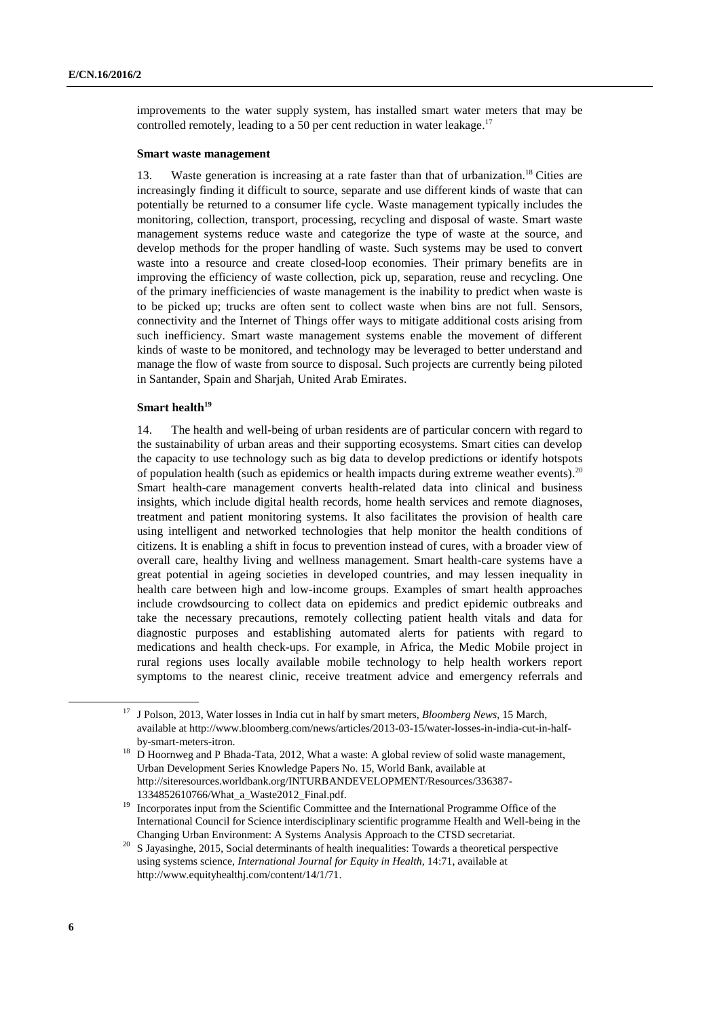improvements to the water supply system, has installed smart water meters that may be controlled remotely, leading to a 50 per cent reduction in water leakage.<sup>17</sup>

#### **Smart waste management**

13. Waste generation is increasing at a rate faster than that of urbanization.<sup>18</sup> Cities are increasingly finding it difficult to source, separate and use different kinds of waste that can potentially be returned to a consumer life cycle. Waste management typically includes the monitoring, collection, transport, processing, recycling and disposal of waste. Smart waste management systems reduce waste and categorize the type of waste at the source, and develop methods for the proper handling of waste. Such systems may be used to convert waste into a resource and create closed-loop economies. Their primary benefits are in improving the efficiency of waste collection, pick up, separation, reuse and recycling. One of the primary inefficiencies of waste management is the inability to predict when waste is to be picked up; trucks are often sent to collect waste when bins are not full. Sensors, connectivity and the Internet of Things offer ways to mitigate additional costs arising from such inefficiency. Smart waste management systems enable the movement of different kinds of waste to be monitored, and technology may be leveraged to better understand and manage the flow of waste from source to disposal. Such projects are currently being piloted in Santander, Spain and Sharjah, United Arab Emirates.

### **Smart health<sup>19</sup>**

14. The health and well-being of urban residents are of particular concern with regard to the sustainability of urban areas and their supporting ecosystems. Smart cities can develop the capacity to use technology such as big data to develop predictions or identify hotspots of population health (such as epidemics or health impacts during extreme weather events).<sup>20</sup> Smart health-care management converts health-related data into clinical and business insights, which include digital health records, home health services and remote diagnoses, treatment and patient monitoring systems. It also facilitates the provision of health care using intelligent and networked technologies that help monitor the health conditions of citizens. It is enabling a shift in focus to prevention instead of cures, with a broader view of overall care, healthy living and wellness management. Smart health-care systems have a great potential in ageing societies in developed countries, and may lessen inequality in health care between high and low-income groups. Examples of smart health approaches include crowdsourcing to collect data on epidemics and predict epidemic outbreaks and take the necessary precautions, remotely collecting patient health vitals and data for diagnostic purposes and establishing automated alerts for patients with regard to medications and health check-ups. For example, in Africa, the Medic Mobile project in rural regions uses locally available mobile technology to help health workers report symptoms to the nearest clinic, receive treatment advice and emergency referrals and

<sup>&</sup>lt;sup>17</sup> J Polson, 2013, Water losses in India cut in half by smart meters, *Bloomberg News*, 15 March, available at http://www.bloomberg.com/news/articles/2013-03-15/water-losses-in-india-cut-in-halfby-smart-meters-itron.

<sup>&</sup>lt;sup>18</sup> D Hoornweg and P Bhada-Tata, 2012, What a waste: A global review of solid waste management, Urban Development Series Knowledge Papers No. 15, World Bank, available at http://siteresources.worldbank.org/INTURBANDEVELOPMENT/Resources/336387- 1334852610766/What\_a\_Waste2012\_Final.pdf.

<sup>19</sup> Incorporates input from the Scientific Committee and the International Programme Office of the International Council for Science interdisciplinary scientific programme Health and Well-being in the Changing Urban Environment: A Systems Analysis Approach to the CTSD secretariat.

<sup>&</sup>lt;sup>20</sup> S Jayasinghe, 2015, Social determinants of health inequalities: Towards a theoretical perspective using systems science, *International Journal for Equity in Health*, 14:71, available at http://www.equityhealthj.com/content/14/1/71.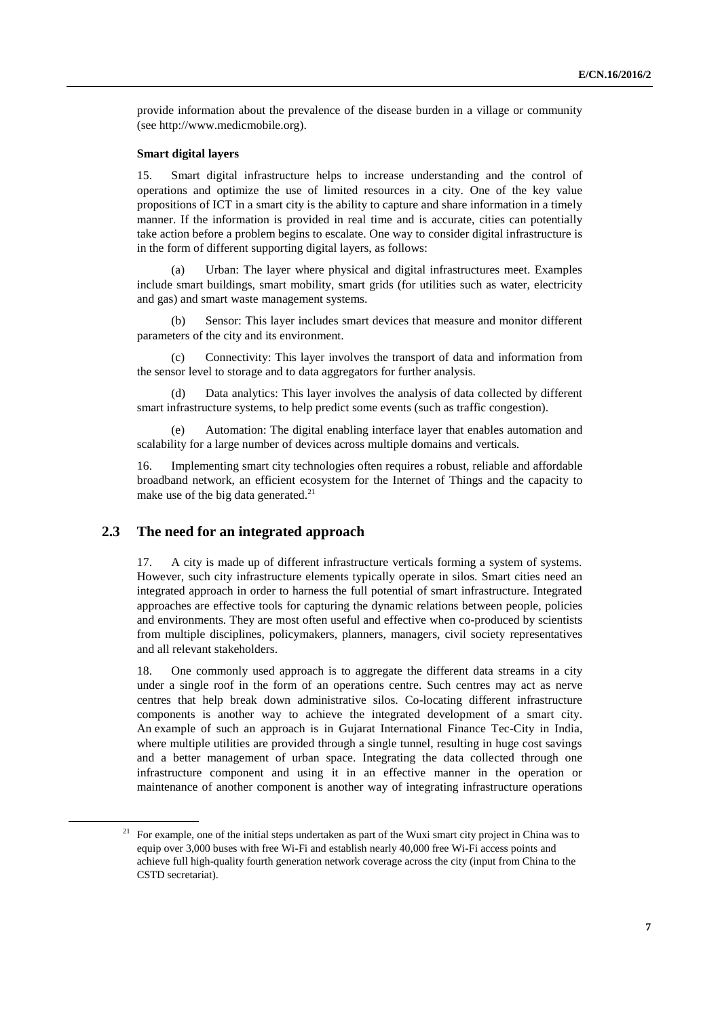provide information about the prevalence of the disease burden in a village or community (see http://www.medicmobile.org).

## **Smart digital layers**

15. Smart digital infrastructure helps to increase understanding and the control of operations and optimize the use of limited resources in a city. One of the key value propositions of ICT in a smart city is the ability to capture and share information in a timely manner. If the information is provided in real time and is accurate, cities can potentially take action before a problem begins to escalate. One way to consider digital infrastructure is in the form of different supporting digital layers, as follows:

Urban: The layer where physical and digital infrastructures meet. Examples include smart buildings, smart mobility, smart grids (for utilities such as water, electricity and gas) and smart waste management systems.

(b) Sensor: This layer includes smart devices that measure and monitor different parameters of the city and its environment.

(c) Connectivity: This layer involves the transport of data and information from the sensor level to storage and to data aggregators for further analysis.

(d) Data analytics: This layer involves the analysis of data collected by different smart infrastructure systems, to help predict some events (such as traffic congestion).

(e) Automation: The digital enabling interface layer that enables automation and scalability for a large number of devices across multiple domains and verticals.

16. Implementing smart city technologies often requires a robust, reliable and affordable broadband network, an efficient ecosystem for the Internet of Things and the capacity to make use of the big data generated. $^{21}$ 

## **2.3 The need for an integrated approach**

17. A city is made up of different infrastructure verticals forming a system of systems. However, such city infrastructure elements typically operate in silos. Smart cities need an integrated approach in order to harness the full potential of smart infrastructure. Integrated approaches are effective tools for capturing the dynamic relations between people, policies and environments. They are most often useful and effective when co-produced by scientists from multiple disciplines, policymakers, planners, managers, civil society representatives and all relevant stakeholders.

18. One commonly used approach is to aggregate the different data streams in a city under a single roof in the form of an operations centre. Such centres may act as nerve centres that help break down administrative silos. Co-locating different infrastructure components is another way to achieve the integrated development of a smart city. An example of such an approach is in Gujarat International Finance Tec-City in India, where multiple utilities are provided through a single tunnel, resulting in huge cost savings and a better management of urban space. Integrating the data collected through one infrastructure component and using it in an effective manner in the operation or maintenance of another component is another way of integrating infrastructure operations

<sup>&</sup>lt;sup>21</sup> For example, one of the initial steps undertaken as part of the Wuxi smart city project in China was to equip over 3,000 buses with free Wi-Fi and establish nearly 40,000 free Wi-Fi access points and achieve full high-quality fourth generation network coverage across the city (input from China to the CSTD secretariat).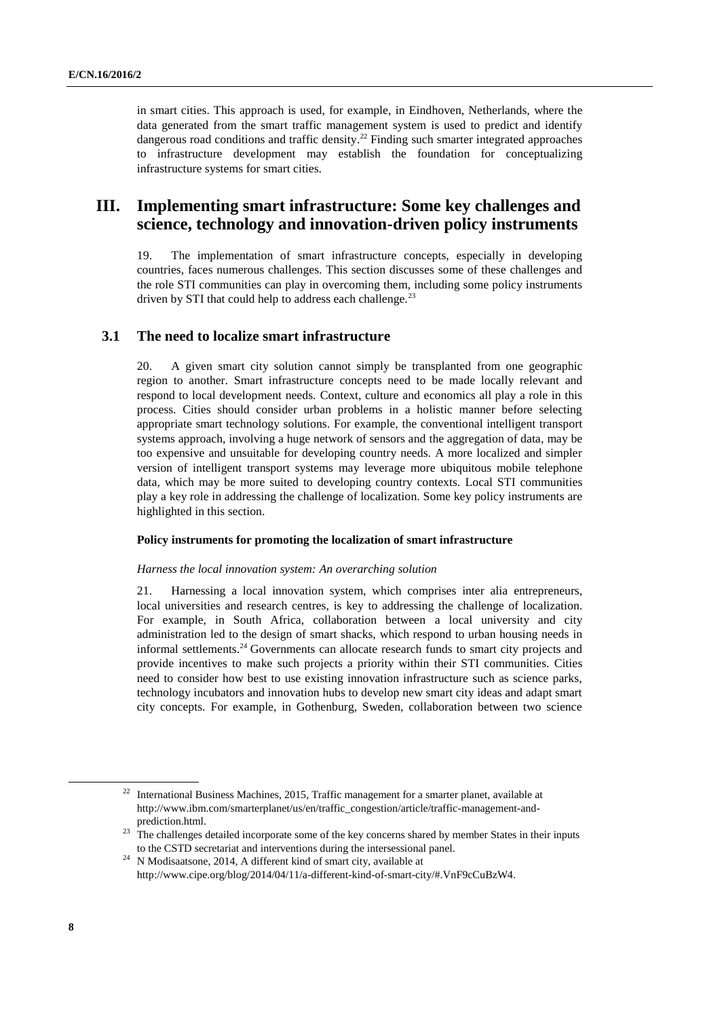in smart cities. This approach is used, for example, in Eindhoven, Netherlands, where the data generated from the smart traffic management system is used to predict and identify dangerous road conditions and traffic density.<sup>22</sup> Finding such smarter integrated approaches to infrastructure development may establish the foundation for conceptualizing infrastructure systems for smart cities.

# **III. Implementing smart infrastructure: Some key challenges and science, technology and innovation-driven policy instruments**

19. The implementation of smart infrastructure concepts, especially in developing countries, faces numerous challenges. This section discusses some of these challenges and the role STI communities can play in overcoming them, including some policy instruments driven by STI that could help to address each challenge. $^{23}$ 

## **3.1 The need to localize smart infrastructure**

20. A given smart city solution cannot simply be transplanted from one geographic region to another. Smart infrastructure concepts need to be made locally relevant and respond to local development needs. Context, culture and economics all play a role in this process. Cities should consider urban problems in a holistic manner before selecting appropriate smart technology solutions. For example, the conventional intelligent transport systems approach, involving a huge network of sensors and the aggregation of data, may be too expensive and unsuitable for developing country needs. A more localized and simpler version of intelligent transport systems may leverage more ubiquitous mobile telephone data, which may be more suited to developing country contexts. Local STI communities play a key role in addressing the challenge of localization. Some key policy instruments are highlighted in this section.

### **Policy instruments for promoting the localization of smart infrastructure**

#### *Harness the local innovation system: An overarching solution*

21. Harnessing a local innovation system, which comprises inter alia entrepreneurs, local universities and research centres, is key to addressing the challenge of localization. For example, in South Africa, collaboration between a local university and city administration led to the design of smart shacks, which respond to urban housing needs in informal settlements.<sup>24</sup> Governments can allocate research funds to smart city projects and provide incentives to make such projects a priority within their STI communities. Cities need to consider how best to use existing innovation infrastructure such as science parks, technology incubators and innovation hubs to develop new smart city ideas and adapt smart city concepts. For example, in Gothenburg, Sweden, collaboration between two science

 $22$  International Business Machines, 2015, Traffic management for a smarter planet, available at http://www.ibm.com/smarterplanet/us/en/traffic\_congestion/article/traffic-management-andprediction.html.

<sup>&</sup>lt;sup>23</sup> The challenges detailed incorporate some of the key concerns shared by member States in their inputs to the CSTD secretariat and interventions during the intersessional panel.

<sup>&</sup>lt;sup>24</sup> N Modisaatsone, 2014, A different kind of smart city, available at http://www.cipe.org/blog/2014/04/11/a-different-kind-of-smart-city/#.VnF9cCuBzW4.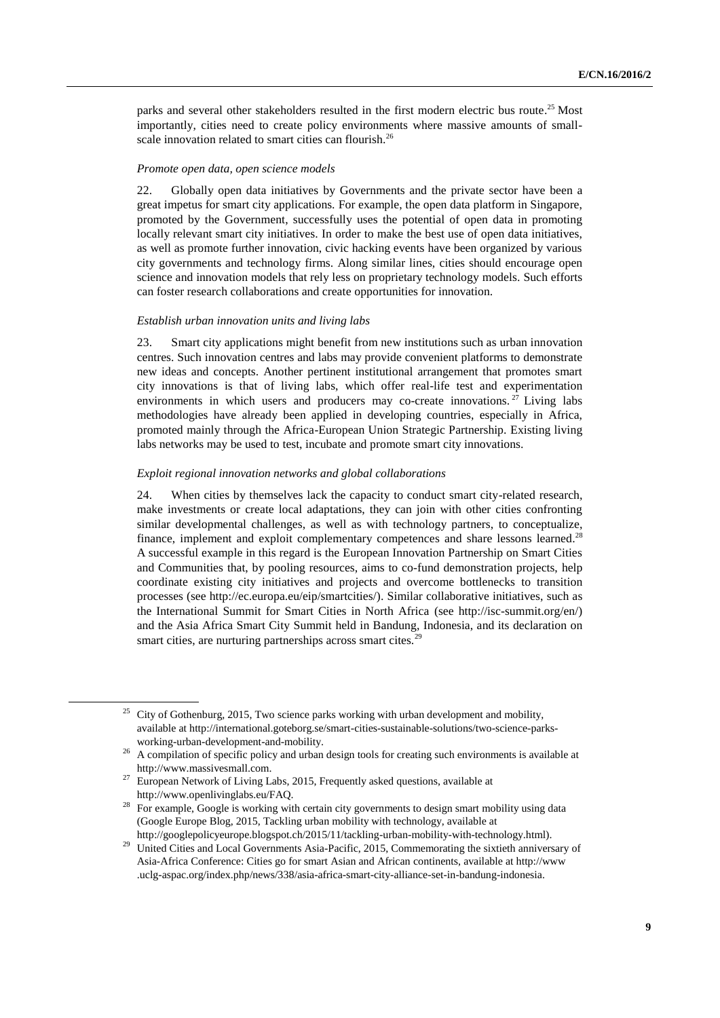parks and several other stakeholders resulted in the first modern electric bus route.<sup>25</sup> Most importantly, cities need to create policy environments where massive amounts of smallscale innovation related to smart cities can flourish.<sup>26</sup>

#### *Promote open data, open science models*

22. Globally open data initiatives by Governments and the private sector have been a great impetus for smart city applications. For example, the open data platform in Singapore, promoted by the Government, successfully uses the potential of open data in promoting locally relevant smart city initiatives. In order to make the best use of open data initiatives, as well as promote further innovation, civic hacking events have been organized by various city governments and technology firms. Along similar lines, cities should encourage open science and innovation models that rely less on proprietary technology models. Such efforts can foster research collaborations and create opportunities for innovation.

#### *Establish urban innovation units and living labs*

23. Smart city applications might benefit from new institutions such as urban innovation centres. Such innovation centres and labs may provide convenient platforms to demonstrate new ideas and concepts. Another pertinent institutional arrangement that promotes smart city innovations is that of living labs, which offer real-life test and experimentation environments in which users and producers may co-create innovations.<sup>27</sup> Living labs methodologies have already been applied in developing countries, especially in Africa, promoted mainly through the Africa-European Union Strategic Partnership. Existing living labs networks may be used to test, incubate and promote smart city innovations.

#### *Exploit regional innovation networks and global collaborations*

24. When cities by themselves lack the capacity to conduct smart city-related research, make investments or create local adaptations, they can join with other cities confronting similar developmental challenges, as well as with technology partners, to conceptualize, finance, implement and exploit complementary competences and share lessons learned.<sup>28</sup> A successful example in this regard is the [European Innovation Partnership on Smart Cities](https://eu-smartcities.eu/)  [and Communities](https://eu-smartcities.eu/) that, by pooling resources, aims to co-fund demonstration projects, help coordinate existing city initiatives and projects and overcome bottlenecks to transition processes (see http://ec.europa.eu/eip/smartcities/). Similar collaborative initiatives, such as the International Summit for Smart Cities in North Africa (see http://isc-summit.org/en/) and the Asia Africa Smart City Summit held in Bandung, Indonesia, and its declaration on smart cities, are nurturing partnerships across smart cites.<sup>29</sup>

 $25$  City of Gothenburg, 2015, Two science parks working with urban development and mobility, available at http://international.goteborg.se/smart-cities-sustainable-solutions/two-science-parksworking-urban-development-and-mobility.

<sup>&</sup>lt;sup>26</sup> A compilation of specific policy and urban design tools for creating such environments is available at [http://www.massivesmall.com.](http://www.massivesmall.com/)

<sup>&</sup>lt;sup>27</sup> European Network of Living Labs, 2015, Frequently asked questions, available at http://www.openlivinglabs.eu/FAQ.

<sup>28</sup> For example, Google is working with certain city governments to design smart mobility using data (Google Europe Blog, 2015, Tackling urban mobility with technology, available at

http://googlepolicyeurope.blogspot.ch/2015/11/tackling-urban-mobility-with-technology.html). <sup>29</sup> United Cities and Local Governments Asia-Pacific, 2015, Commemorating the sixtieth anniversary of Asia-Africa Conference: Cities go for smart Asian and African continents, available at http://www .uclg-aspac.org/index.php/news/338/asia-africa-smart-city-alliance-set-in-bandung-indonesia.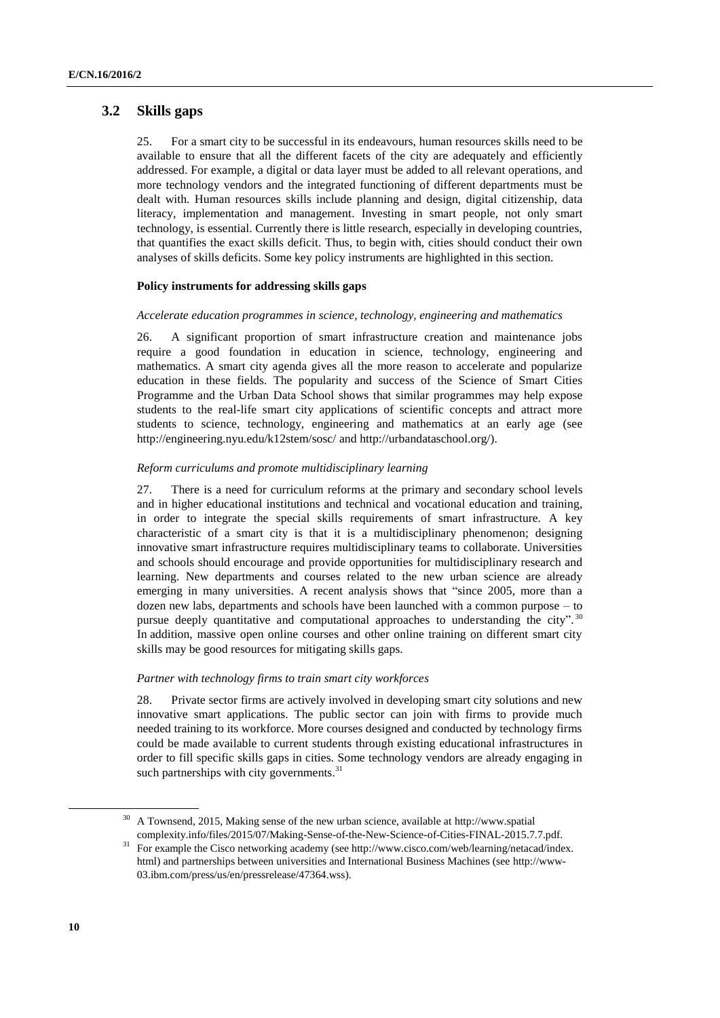## **3.2 Skills gaps**

25. For a smart city to be successful in its endeavours, human resources skills need to be available to ensure that all the different facets of the city are adequately and efficiently addressed. For example, a digital or data layer must be added to all relevant operations, and more technology vendors and the integrated functioning of different departments must be dealt with. Human resources skills include planning and design, digital citizenship, data literacy, implementation and management. Investing in smart people, not only smart technology, is essential. Currently there is little research, especially in developing countries, that quantifies the exact skills deficit. Thus, to begin with, cities should conduct their own analyses of skills deficits. Some key policy instruments are highlighted in this section.

### **Policy instruments for addressing skills gaps**

#### *Accelerate education programmes in science, technology, engineering and mathematics*

26. A significant proportion of smart infrastructure creation and maintenance jobs require a good foundation in education in science, technology, engineering and mathematics. A smart city agenda gives all the more reason to accelerate and popularize education in these fields. The popularity and success of the Science of Smart Cities Programme and the Urban Data School shows that similar programmes may help expose students to the real-life smart city applications of scientific concepts and attract more students to science, technology, engineering and mathematics at an early age (see http://engineering.nyu.edu/k12stem/sosc/ and http://urbandataschool.org/).

### *Reform curriculums and promote multidisciplinary learning*

27. There is a need for curriculum reforms at the primary and secondary school levels and in higher educational institutions and technical and vocational education and training, in order to integrate the special skills requirements of smart infrastructure. A key characteristic of a smart city is that it is a multidisciplinary phenomenon; designing innovative smart infrastructure requires multidisciplinary teams to collaborate. Universities and schools should encourage and provide opportunities for multidisciplinary research and learning. New departments and courses related to the new urban science are already emerging in many universities. A recent analysis shows that "since 2005, more than a dozen new labs, departments and schools have been launched with a common purpose – to pursue deeply quantitative and computational approaches to understanding the city".  $30$ In addition, massive open online courses and other online training on different smart city skills may be good resources for mitigating skills gaps.

#### *Partner with technology firms to train smart city workforces*

28. Private sector firms are actively involved in developing smart city solutions and new innovative smart applications. The public sector can join with firms to provide much needed training to its workforce. More courses designed and conducted by technology firms could be made available to current students through existing educational infrastructures in order to fill specific skills gaps in cities. Some technology vendors are already engaging in such partnerships with city governments.<sup>31</sup>

<sup>30</sup> A Townsend, 2015, Making sense of the new urban science, available at http://www.spatial complexity.info/files/2015/07/Making-Sense-of-the-New-Science-of-Cities-FINAL-2015.7.7.pdf.

<sup>&</sup>lt;sup>31</sup> For example the Cisco networking academy (see http://www.cisco.com/web/learning/netacad/index. html) and partnerships between universities and International Business Machines (see [http://www-](http://www-03.ibm.com/press/us/en/pressrelease/47364.wss)[03.ibm.com/press/us/en/pressrelease/47364.wss\)](http://www-03.ibm.com/press/us/en/pressrelease/47364.wss).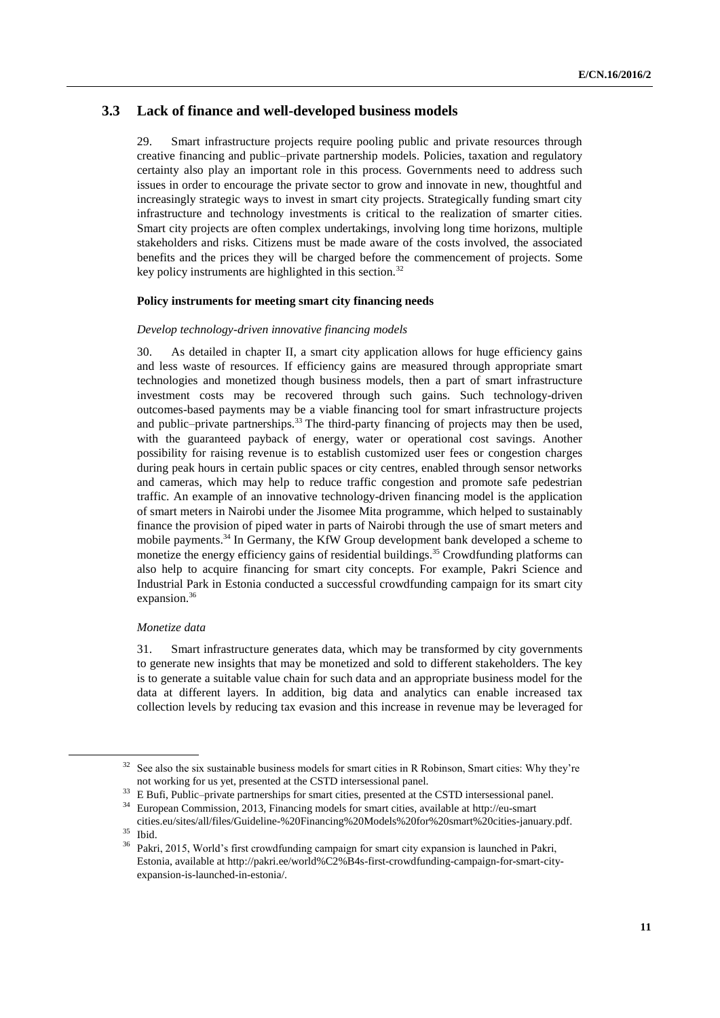## **3.3 Lack of finance and well-developed business models**

29. Smart infrastructure projects require pooling public and private resources through creative financing and public–private partnership models. Policies, taxation and regulatory certainty also play an important role in this process. Governments need to address such issues in order to encourage the private sector to grow and innovate in new, thoughtful and increasingly strategic ways to invest in smart city projects. Strategically funding smart city infrastructure and technology investments is critical to the realization of smarter cities. Smart city projects are often complex undertakings, involving long time horizons, multiple stakeholders and risks. Citizens must be made aware of the costs involved, the associated benefits and the prices they will be charged before the commencement of projects. Some key policy instruments are highlighted in this section. $32$ 

#### **Policy instruments for meeting smart city financing needs**

#### *Develop technology-driven innovative financing models*

30. As detailed in chapter II, a smart city application allows for huge efficiency gains and less waste of resources. If efficiency gains are measured through appropriate smart technologies and monetized though business models, then a part of smart infrastructure investment costs may be recovered through such gains. Such technology-driven outcomes-based payments may be a viable financing tool for smart infrastructure projects and public–private partnerships. $33$  The third-party financing of projects may then be used, with the guaranteed payback of energy, water or operational cost savings. Another possibility for raising revenue is to establish customized user fees or congestion charges during peak hours in certain public spaces or city centres, enabled through sensor networks and cameras, which may help to reduce traffic congestion and promote safe pedestrian traffic. An example of an innovative technology-driven financing model is the application of smart meters in Nairobi under the Jisomee Mita programme, which helped to sustainably finance the provision of piped water in parts of Nairobi through the use of smart meters and mobile payments.<sup>34</sup> In Germany, the KfW Group development bank developed a scheme to monetize the energy efficiency gains of residential buildings.<sup>35</sup> Crowdfunding platforms can also help to acquire financing for smart city concepts. For example, Pakri Science and Industrial Park in Estonia conducted a successful crowdfunding campaign for its smart city expansion.<sup>36</sup>

### *Monetize data*

31. Smart infrastructure generates data, which may be transformed by city governments to generate new insights that may be monetized and sold to different stakeholders. The key is to generate a suitable value chain for such data and an appropriate business model for the data at different layers. In addition, big data and analytics can enable increased tax collection levels by reducing tax evasion and this increase in revenue may be leveraged for

See also the six sustainable business models for smart cities in R Robinson, Smart cities: Why they're not working for us yet, presented at the CSTD intersessional panel.

 $33$  E Bufi, Public–private partnerships for smart cities, presented at the CSTD intersessional panel.<br> $34$  Eugeneen Commission 2012, Einensine models for smart cities, available at http://www.smart.

<sup>34</sup> European Commission, 2013, Financing models for smart cities, available at http://eu-smart cities.eu/sites/all/files/Guideline-%20Financing%20Models%20for%20smart%20cities-january.pdf.  $35$  Ibid.

<sup>36</sup> Pakri, 2015, World's first crowdfunding campaign for smart city expansion is launched in Pakri, Estonia, available at http://pakri.ee/world%C2%B4s-first-crowdfunding-campaign-for-smart-cityexpansion-is-launched-in-estonia/.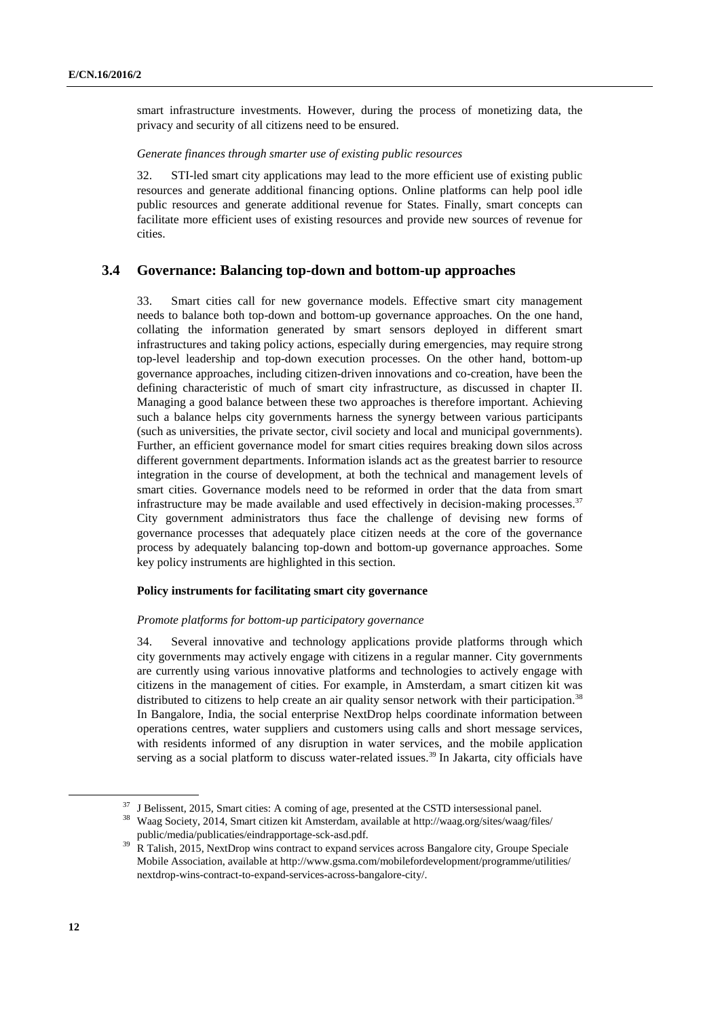smart infrastructure investments. However, during the process of monetizing data, the privacy and security of all citizens need to be ensured.

### *Generate finances through smarter use of existing public resources*

32. STI-led smart city applications may lead to the more efficient use of existing public resources and generate additional financing options. Online platforms can help pool idle public resources and generate additional revenue for States. Finally, smart concepts can facilitate more efficient uses of existing resources and provide new sources of revenue for cities.

## **3.4 Governance: Balancing top-down and bottom-up approaches**

33. Smart cities call for new governance models. Effective smart city management needs to balance both top-down and bottom-up governance approaches. On the one hand, collating the information generated by smart sensors deployed in different smart infrastructures and taking policy actions, especially during emergencies, may require strong top-level leadership and top-down execution processes. On the other hand, bottom-up governance approaches, including citizen-driven innovations and co-creation, have been the defining characteristic of much of smart city infrastructure, as discussed in chapter II. Managing a good balance between these two approaches is therefore important. Achieving such a balance helps city governments harness the synergy between various participants (such as universities, the private sector, civil society and local and municipal governments). Further, an efficient governance model for smart cities requires breaking down silos across different government departments. Information islands act as the greatest barrier to resource integration in the course of development, at both the technical and management levels of smart cities. Governance models need to be reformed in order that the data from smart infrastructure may be made available and used effectively in decision-making processes.<sup>37</sup> City government administrators thus face the challenge of devising new forms of governance processes that adequately place citizen needs at the core of the governance process by adequately balancing top-down and bottom-up governance approaches. Some key policy instruments are highlighted in this section.

## **Policy instruments for facilitating smart city governance**

#### *Promote platforms for bottom-up participatory governance*

34. Several innovative and technology applications provide platforms through which city governments may actively engage with citizens in a regular manner. City governments are currently using various innovative platforms and technologies to actively engage with citizens in the management of cities. For example, in Amsterdam, a smart citizen kit was distributed to citizens to help create an air quality sensor network with their participation.<sup>38</sup> In Bangalore, India, the social enterprise NextDrop helps coordinate information between operations centres, water suppliers and customers using calls and short message services, with residents informed of any disruption in water services, and the mobile application serving as a social platform to discuss water-related issues.<sup>39</sup> In Jakarta, city officials have

<sup>37</sup> J Belissent, 2015, Smart cities: A coming of age, presented at the CSTD intersessional panel.

<sup>38</sup> Waag Society, 2014, Smart citizen kit Amsterdam, available at http://waag.org/sites/waag/files/ public/media/publicaties/eindrapportage-sck-asd.pdf.

<sup>&</sup>lt;sup>39</sup> R Talish, 2015, NextDrop wins contract to expand services across Bangalore city, Groupe Speciale Mobile Association, available at http://www.gsma.com/mobilefordevelopment/programme/utilities/ nextdrop-wins-contract-to-expand-services-across-bangalore-city/.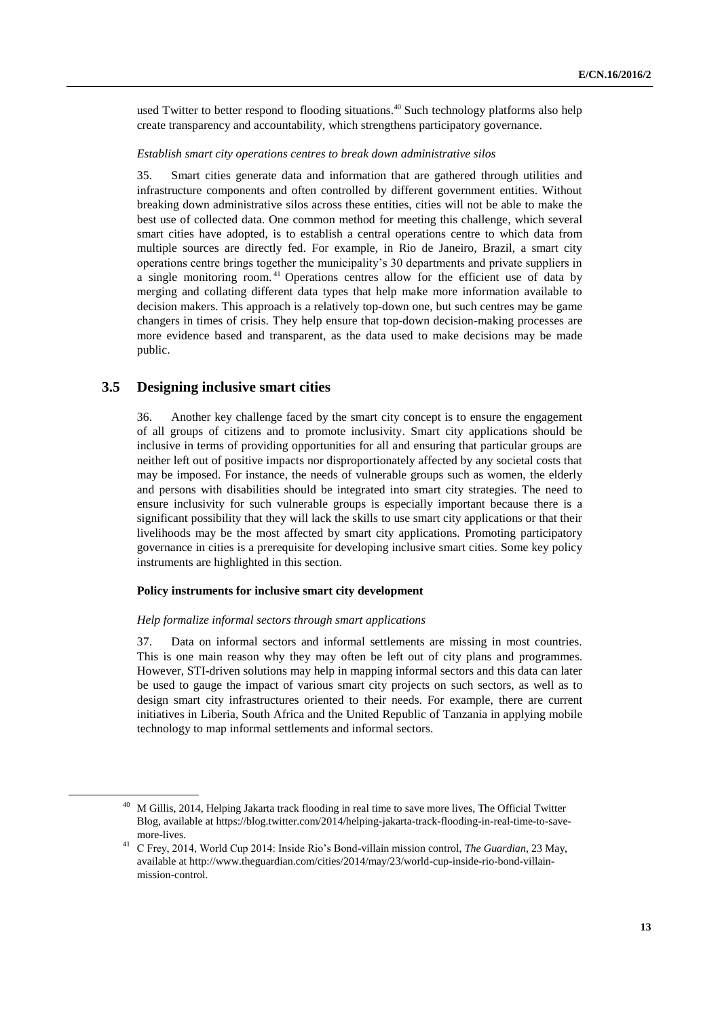used Twitter to better respond to flooding situations. <sup>40</sup> Such technology platforms also help create transparency and accountability, which strengthens participatory governance.

#### *Establish smart city operations centres to break down administrative silos*

35. Smart cities generate data and information that are gathered through utilities and infrastructure components and often controlled by different government entities. Without breaking down administrative silos across these entities, cities will not be able to make the best use of collected data. One common method for meeting this challenge, which several smart cities have adopted, is to establish a central operations centre to which data from multiple sources are directly fed. For example, in Rio de Janeiro, Brazil, a smart city operations centre brings together the municipality's 30 departments and private suppliers in a single monitoring room.<sup>41</sup> Operations centres allow for the efficient use of data by merging and collating different data types that help make more information available to decision makers. This approach is a relatively top-down one, but such centres may be game changers in times of crisis. They help ensure that top-down decision-making processes are more evidence based and transparent, as the data used to make decisions may be made public.

## **3.5 Designing inclusive smart cities**

36. Another key challenge faced by the smart city concept is to ensure the engagement of all groups of citizens and to promote inclusivity. Smart city applications should be inclusive in terms of providing opportunities for all and ensuring that particular groups are neither left out of positive impacts nor disproportionately affected by any societal costs that may be imposed. For instance, the needs of vulnerable groups such as women, the elderly and persons with disabilities should be integrated into smart city strategies. The need to ensure inclusivity for such vulnerable groups is especially important because there is a significant possibility that they will lack the skills to use smart city applications or that their livelihoods may be the most affected by smart city applications. Promoting participatory governance in cities is a prerequisite for developing inclusive smart cities. Some key policy instruments are highlighted in this section.

### **Policy instruments for inclusive smart city development**

#### *Help formalize informal sectors through smart applications*

37. Data on informal sectors and informal settlements are missing in most countries. This is one main reason why they may often be left out of city plans and programmes. However, STI-driven solutions may help in mapping informal sectors and this data can later be used to gauge the impact of various smart city projects on such sectors, as well as to design smart city infrastructures oriented to their needs. For example, there are current initiatives in Liberia, South Africa and the United Republic of Tanzania in applying mobile technology to map informal settlements and informal sectors.

<sup>40</sup> M Gillis, 2014, Helping Jakarta track flooding in real time to save more lives, The Official Twitter Blog, available at https://blog.twitter.com/2014/helping-jakarta-track-flooding-in-real-time-to-savemore-lives.

<sup>41</sup> C Frey, 2014, World Cup 2014: Inside Rio's Bond-villain mission control, *The Guardian*, 23 May, available at [http://www.theguardian.com/cities/2014/may/23/world-cup-inside-rio-bond-villain](http://www.theguardian.com/cities/2014/may/23/world-cup-inside-rio-bond-villain-mission-control)[mission-control.](http://www.theguardian.com/cities/2014/may/23/world-cup-inside-rio-bond-villain-mission-control)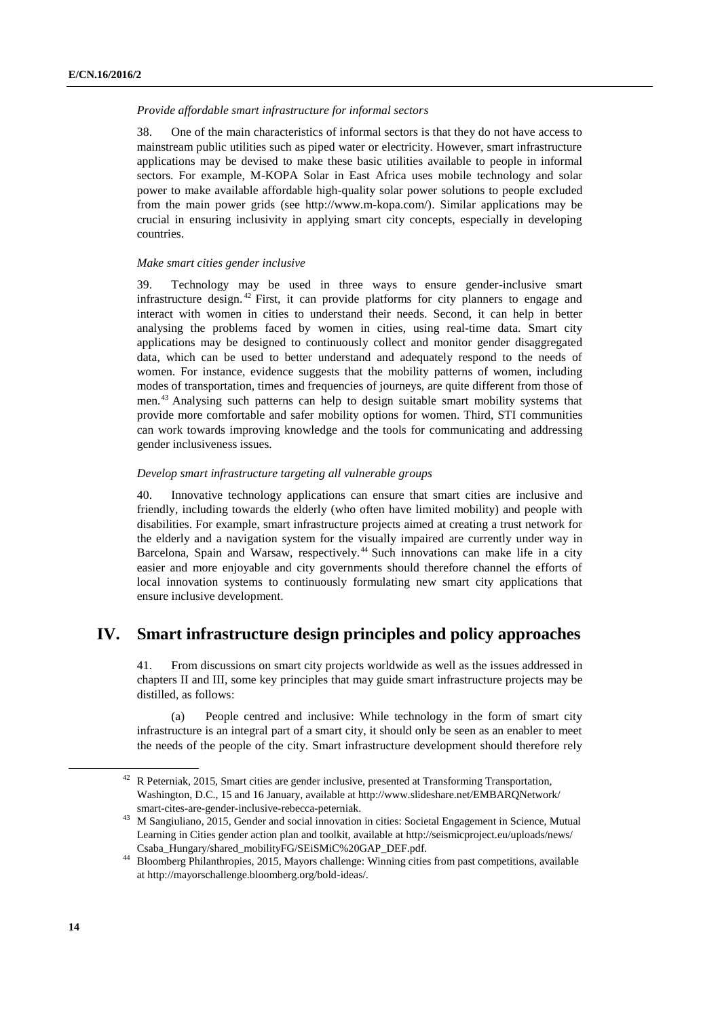#### *Provide affordable smart infrastructure for informal sectors*

38. One of the main characteristics of informal sectors is that they do not have access to mainstream public utilities such as piped water or electricity. However, smart infrastructure applications may be devised to make these basic utilities available to people in informal sectors. For example, M-KOPA Solar in East Africa uses mobile technology and solar power to make available affordable high-quality solar power solutions to people excluded from the main power grids (see http://www.m-kopa.com/). Similar applications may be crucial in ensuring inclusivity in applying smart city concepts, especially in developing countries.

#### *Make smart cities gender inclusive*

39. Technology may be used in three ways to ensure gender-inclusive smart infrastructure design. <sup>42</sup> First, it can provide platforms for city planners to engage and interact with women in cities to understand their needs. Second, it can help in better analysing the problems faced by women in cities, using real-time data. Smart city applications may be designed to continuously collect and monitor gender disaggregated data, which can be used to better understand and adequately respond to the needs of women. For instance, evidence suggests that the mobility patterns of women, including modes of transportation, times and frequencies of journeys, are quite different from those of men. <sup>43</sup> Analysing such patterns can help to design suitable smart mobility systems that provide more comfortable and safer mobility options for women. Third, STI communities can work towards improving knowledge and the tools for communicating and addressing gender inclusiveness issues.

### *Develop smart infrastructure targeting all vulnerable groups*

40. Innovative technology applications can ensure that smart cities are inclusive and friendly, including towards the elderly (who often have limited mobility) and people with disabilities. For example, smart infrastructure projects aimed at creating a trust network for the elderly and a navigation system for the visually impaired are currently under way in Barcelona, Spain and Warsaw, respectively.<sup>44</sup> Such innovations can make life in a city easier and more enjoyable and city governments should therefore channel the efforts of local innovation systems to continuously formulating new smart city applications that ensure inclusive development.

# **IV. Smart infrastructure design principles and policy approaches**

41. From discussions on smart city projects worldwide as well as the issues addressed in chapters II and III, some key principles that may guide smart infrastructure projects may be distilled, as follows:

(a) People centred and inclusive: While technology in the form of smart city infrastructure is an integral part of a smart city, it should only be seen as an enabler to meet the needs of the people of the city. Smart infrastructure development should therefore rely

<sup>&</sup>lt;sup>42</sup> R Peterniak, 2015, Smart cities are gender inclusive, presented at Transforming Transportation, Washington, D.C., 15 and 16 January, available at http://www.slideshare.net/EMBARQNetwork/ smart-cites-are-gender-inclusive-rebecca-peterniak.

<sup>43</sup> M Sangiuliano, 2015, Gender and social innovation in cities: Societal Engagement in Science, Mutual Learning in Cities gender action plan and toolkit, available at http://seismicproject.eu/uploads/news/ Csaba\_Hungary/shared\_mobilityFG/SEiSMiC%20GAP\_DEF.pdf.

<sup>&</sup>lt;sup>44</sup> Bloomberg Philanthropies, 2015, Mayors challenge: Winning cities from past competitions, available at http://mayorschallenge.bloomberg.org/bold-ideas/.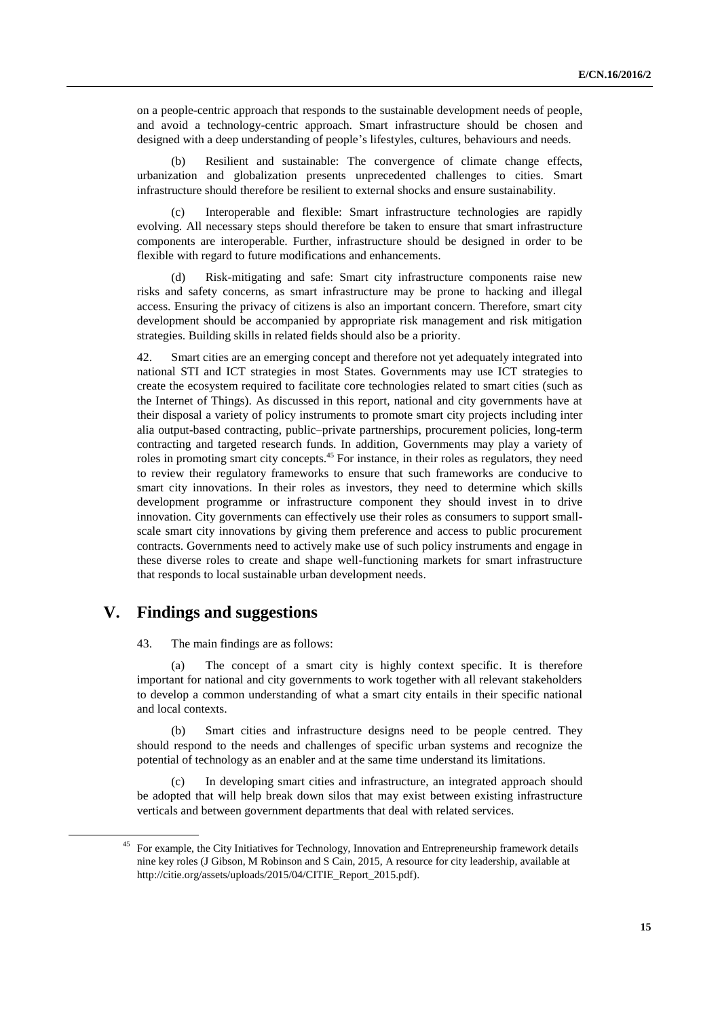on a people-centric approach that responds to the sustainable development needs of people, and avoid a technology-centric approach. Smart infrastructure should be chosen and designed with a deep understanding of people's lifestyles, cultures, behaviours and needs.

(b) Resilient and sustainable: The convergence of climate change effects, urbanization and globalization presents unprecedented challenges to cities. Smart infrastructure should therefore be resilient to external shocks and ensure sustainability.

(c) Interoperable and flexible: Smart infrastructure technologies are rapidly evolving. All necessary steps should therefore be taken to ensure that smart infrastructure components are interoperable. Further, infrastructure should be designed in order to be flexible with regard to future modifications and enhancements.

(d) Risk-mitigating and safe: Smart city infrastructure components raise new risks and safety concerns, as smart infrastructure may be prone to hacking and illegal access. Ensuring the privacy of citizens is also an important concern. Therefore, smart city development should be accompanied by appropriate risk management and risk mitigation strategies. Building skills in related fields should also be a priority.

42. Smart cities are an emerging concept and therefore not yet adequately integrated into national STI and ICT strategies in most States. Governments may use ICT strategies to create the ecosystem required to facilitate core technologies related to smart cities (such as the Internet of Things). As discussed in this report, national and city governments have at their disposal a variety of policy instruments to promote smart city projects including inter alia output-based contracting, public–private partnerships, procurement policies, long-term contracting and targeted research funds. In addition, Governments may play a variety of roles in promoting smart city concepts.<sup>45</sup> For instance, in their roles as regulators, they need to review their regulatory frameworks to ensure that such frameworks are conducive to smart city innovations. In their roles as investors, they need to determine which skills development programme or infrastructure component they should invest in to drive innovation. City governments can effectively use their roles as consumers to support smallscale smart city innovations by giving them preference and access to public procurement contracts. Governments need to actively make use of such policy instruments and engage in these diverse roles to create and shape well-functioning markets for smart infrastructure that responds to local sustainable urban development needs.

# **V. Findings and suggestions**

43. The main findings are as follows:

(a) The concept of a smart city is highly context specific. It is therefore important for national and city governments to work together with all relevant stakeholders to develop a common understanding of what a smart city entails in their specific national and local contexts.

(b) Smart cities and infrastructure designs need to be people centred. They should respond to the needs and challenges of specific urban systems and recognize the potential of technology as an enabler and at the same time understand its limitations.

(c) In developing smart cities and infrastructure, an integrated approach should be adopted that will help break down silos that may exist between existing infrastructure verticals and between government departments that deal with related services.

<sup>45</sup> For example, the City Initiatives for Technology, Innovation and Entrepreneurship framework details nine key roles (J Gibson, M Robinson and S Cain, 2015, A resource for city leadership, available at http://citie.org/assets/uploads/2015/04/CITIE\_Report\_2015.pdf).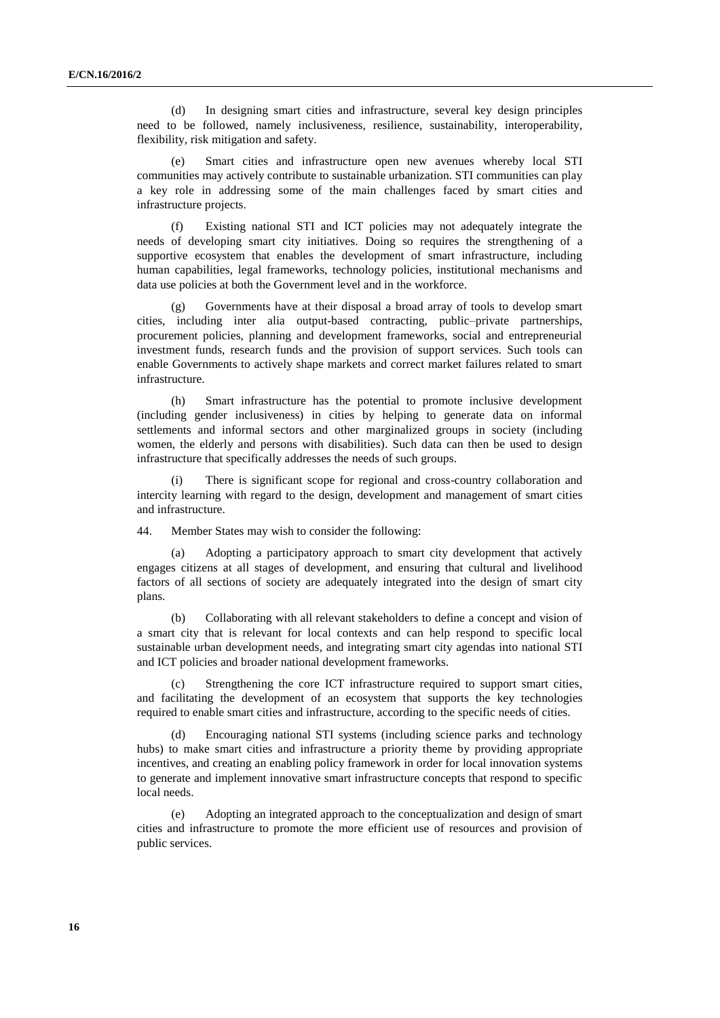(d) In designing smart cities and infrastructure, several key design principles need to be followed, namely inclusiveness, resilience, sustainability, interoperability, flexibility, risk mitigation and safety.

(e) Smart cities and infrastructure open new avenues whereby local STI communities may actively contribute to sustainable urbanization. STI communities can play a key role in addressing some of the main challenges faced by smart cities and infrastructure projects.

(f) Existing national STI and ICT policies may not adequately integrate the needs of developing smart city initiatives. Doing so requires the strengthening of a supportive ecosystem that enables the development of smart infrastructure, including human capabilities, legal frameworks, technology policies, institutional mechanisms and data use policies at both the Government level and in the workforce.

(g) Governments have at their disposal a broad array of tools to develop smart cities, including inter alia output-based contracting, public–private partnerships, procurement policies, planning and development frameworks, social and entrepreneurial investment funds, research funds and the provision of support services. Such tools can enable Governments to actively shape markets and correct market failures related to smart infrastructure.

(h) Smart infrastructure has the potential to promote inclusive development (including gender inclusiveness) in cities by helping to generate data on informal settlements and informal sectors and other marginalized groups in society (including women, the elderly and persons with disabilities). Such data can then be used to design infrastructure that specifically addresses the needs of such groups.

(i) There is significant scope for regional and cross-country collaboration and intercity learning with regard to the design, development and management of smart cities and infrastructure.

44. Member States may wish to consider the following:

(a) Adopting a participatory approach to smart city development that actively engages citizens at all stages of development, and ensuring that cultural and livelihood factors of all sections of society are adequately integrated into the design of smart city plans.

(b) Collaborating with all relevant stakeholders to define a concept and vision of a smart city that is relevant for local contexts and can help respond to specific local sustainable urban development needs, and integrating smart city agendas into national STI and ICT policies and broader national development frameworks.

(c) Strengthening the core ICT infrastructure required to support smart cities, and facilitating the development of an ecosystem that supports the key technologies required to enable smart cities and infrastructure, according to the specific needs of cities.

(d) Encouraging national STI systems (including science parks and technology hubs) to make smart cities and infrastructure a priority theme by providing appropriate incentives, and creating an enabling policy framework in order for local innovation systems to generate and implement innovative smart infrastructure concepts that respond to specific local needs.

(e) Adopting an integrated approach to the conceptualization and design of smart cities and infrastructure to promote the more efficient use of resources and provision of public services.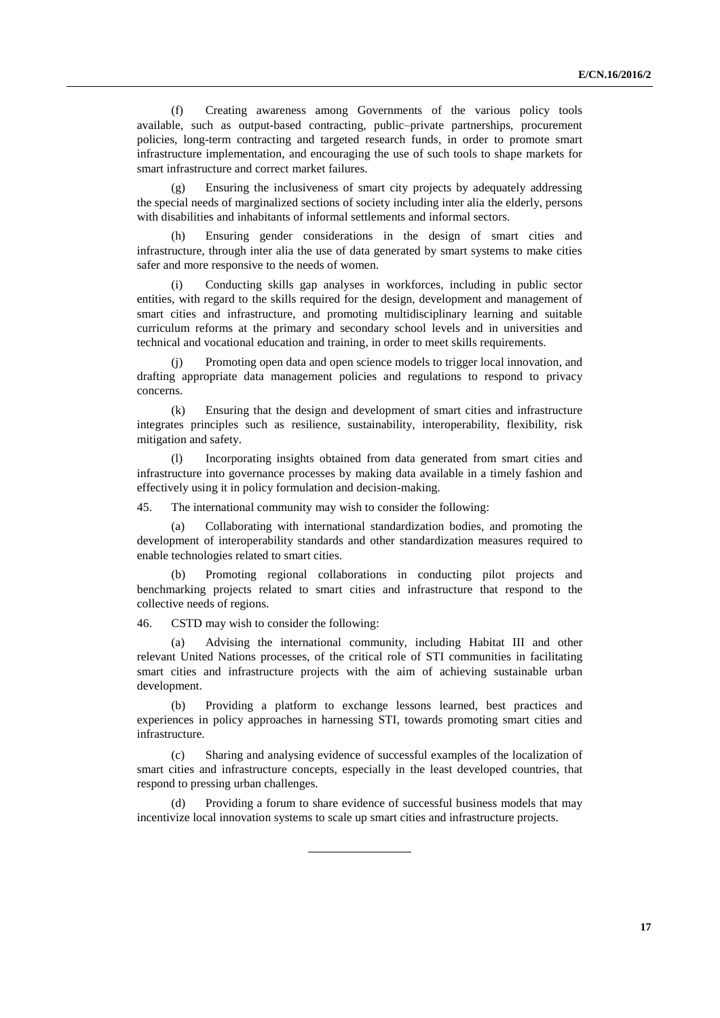(f) Creating awareness among Governments of the various policy tools available, such as output-based contracting, public–private partnerships, procurement policies, long-term contracting and targeted research funds, in order to promote smart infrastructure implementation, and encouraging the use of such tools to shape markets for smart infrastructure and correct market failures.

Ensuring the inclusiveness of smart city projects by adequately addressing the special needs of marginalized sections of society including inter alia the elderly, persons with disabilities and inhabitants of informal settlements and informal sectors.

(h) Ensuring gender considerations in the design of smart cities and infrastructure, through inter alia the use of data generated by smart systems to make cities safer and more responsive to the needs of women.

Conducting skills gap analyses in workforces, including in public sector entities, with regard to the skills required for the design, development and management of smart cities and infrastructure, and promoting multidisciplinary learning and suitable curriculum reforms at the primary and secondary school levels and in universities and technical and vocational education and training, in order to meet skills requirements.

Promoting open data and open science models to trigger local innovation, and drafting appropriate data management policies and regulations to respond to privacy concerns.

(k) Ensuring that the design and development of smart cities and infrastructure integrates principles such as resilience, sustainability, interoperability, flexibility, risk mitigation and safety.

(l) Incorporating insights obtained from data generated from smart cities and infrastructure into governance processes by making data available in a timely fashion and effectively using it in policy formulation and decision-making.

45. The international community may wish to consider the following:

(a) Collaborating with international standardization bodies, and promoting the development of interoperability standards and other standardization measures required to enable technologies related to smart cities.

(b) Promoting regional collaborations in conducting pilot projects and benchmarking projects related to smart cities and infrastructure that respond to the collective needs of regions.

46. CSTD may wish to consider the following:

Advising the international community, including Habitat III and other relevant United Nations processes, of the critical role of STI communities in facilitating smart cities and infrastructure projects with the aim of achieving sustainable urban development.

(b) Providing a platform to exchange lessons learned, best practices and experiences in policy approaches in harnessing STI, towards promoting smart cities and infrastructure.

(c) Sharing and analysing evidence of successful examples of the localization of smart cities and infrastructure concepts, especially in the least developed countries, that respond to pressing urban challenges.

Providing a forum to share evidence of successful business models that may incentivize local innovation systems to scale up smart cities and infrastructure projects.